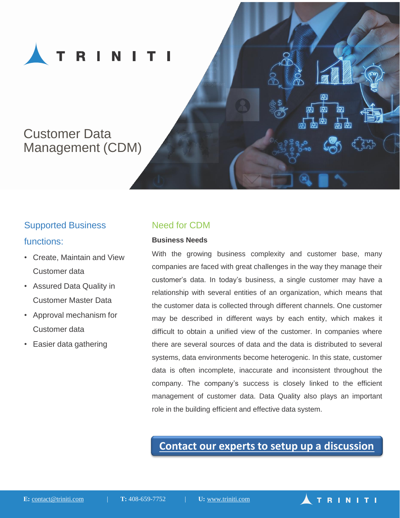

# Customer Data Management (CDM)

## Supported Business

#### functions:

- Create, Maintain and View Customer data
- Assured Data Quality in Customer Master Data
- Approval mechanism for Customer data
- Easier data gathering

### Need for CDM

#### **Business Needs**

With the growing business complexity and customer base, many companies are faced with great challenges in the way they manage their customer's data. In today's business, a single customer may have a relationship with several entities of an organization, which means that the customer data is collected through different channels. One customer may be described in different ways by each entity, which makes it difficult to obtain a unified view of the customer. In companies where there are several sources of data and the data is distributed to several systems, data environments become heterogenic. In this state, customer data is often incomplete, inaccurate and inconsistent throughout the company. The company's success is closely linked to the efficient management of customer data. Data Quality also plays an important role in the building efficient and effective data system.

## **[Contact our experts to setup up a discussion](http://www.triniti.com/contact.html)**

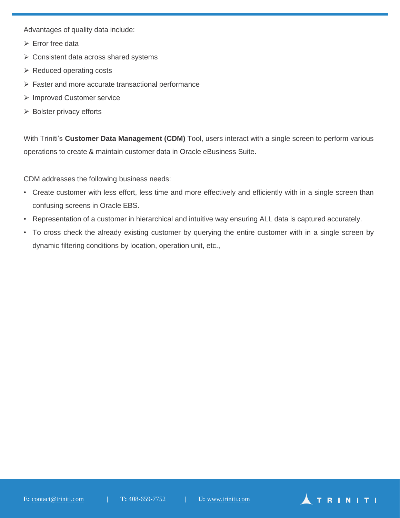Advantages of quality data include:

- $\triangleright$  Error free data
- $\triangleright$  Consistent data across shared systems
- $\triangleright$  Reduced operating costs
- $\triangleright$  Faster and more accurate transactional performance
- Improved Customer service
- $\triangleright$  Bolster privacy efforts

With Triniti's **Customer Data Management (CDM)** Tool, users interact with a single screen to perform various operations to create & maintain customer data in Oracle eBusiness Suite.

CDM addresses the following business needs:

- Create customer with less effort, less time and more effectively and efficiently with in a single screen than confusing screens in Oracle EBS.
- Representation of a customer in hierarchical and intuitive way ensuring ALL data is captured accurately.
- To cross check the already existing customer by querying the entire customer with in a single screen by dynamic filtering conditions by location, operation unit, etc.,

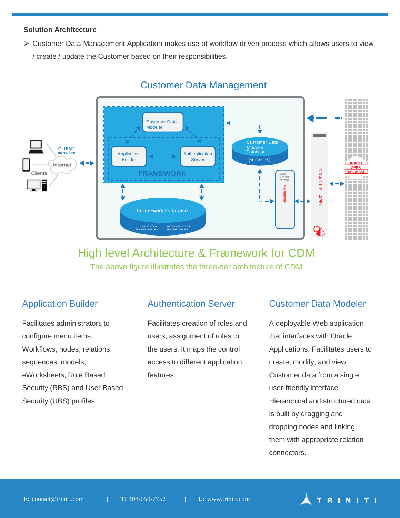#### **Solution Architecture**

 Customer Data Management Application makes use of workflow driven process which allows users to view / create / update the Customer based on their responsibilities.



## Customer Data Management

## High level Architecture & Framework for CDM The above figure illustrates the three-tier architecture of CDM

## Application Builder

Facilitates administrators to configure menu items, Workflows, nodes, relations, sequences, models, eWorksheets, Role Based Security (RBS) and User Based Security (UBS) profiles.

## Authentication Server

Facilitates creation of roles and users, assignment of roles to the users. It maps the control access to different application features.

#### Customer Data Modeler

A deployable Web application that interfaces with Oracle Applications. Facilitates users to create, modify, and view Customer data from a single user-friendly interface. Hierarchical and structured data is built by dragging and dropping nodes and linking them with appropriate relation connectors.

TRINITI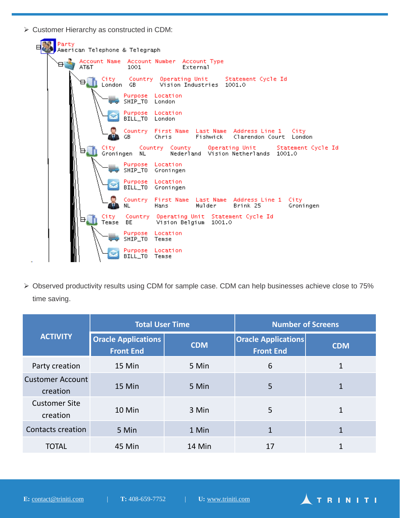Customer Hierarchy as constructed in CDM:



 Observed productivity results using CDM for sample case. CDM can help businesses achieve close to 75% time saving.

| <b>ACTIVITY</b>                     | <b>Total User Time</b>                         |            | <b>Number of Screens</b>                       |              |
|-------------------------------------|------------------------------------------------|------------|------------------------------------------------|--------------|
|                                     | <b>Oracle Applications</b><br><b>Front End</b> | <b>CDM</b> | <b>Oracle Applications</b><br><b>Front End</b> | <b>CDM</b>   |
| Party creation                      | 15 Min                                         | 5 Min      | 6                                              | 1            |
| <b>Customer Account</b><br>creation | 15 Min                                         | 5 Min      | 5                                              | $\mathbf{1}$ |
| <b>Customer Site</b><br>creation    | 10 Min                                         | 3 Min      | 5                                              | $\mathbf{1}$ |
| <b>Contacts creation</b>            | 5 Min                                          | 1 Min      | 1                                              | 1            |
| <b>TOTAL</b>                        | 45 Min                                         | 14 Min     | 17                                             |              |

TRINITI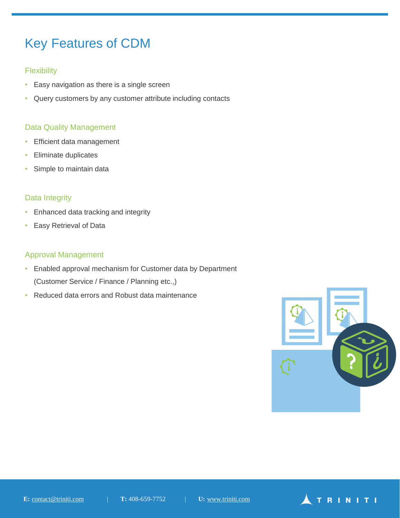# Key Features of CDM

#### **Flexibility**

- Easy navigation as there is a single screen
- Query customers by any customer attribute including contacts

#### Data Quality Management

- Efficient data management
- Eliminate duplicates
- Simple to maintain data

#### Data Integrity

- Enhanced data tracking and integrity
- Easy Retrieval of Data

#### Approval Management

- Enabled approval mechanism for Customer data by Department (Customer Service / Finance / Planning etc.,)
- Reduced data errors and Robust data maintenance